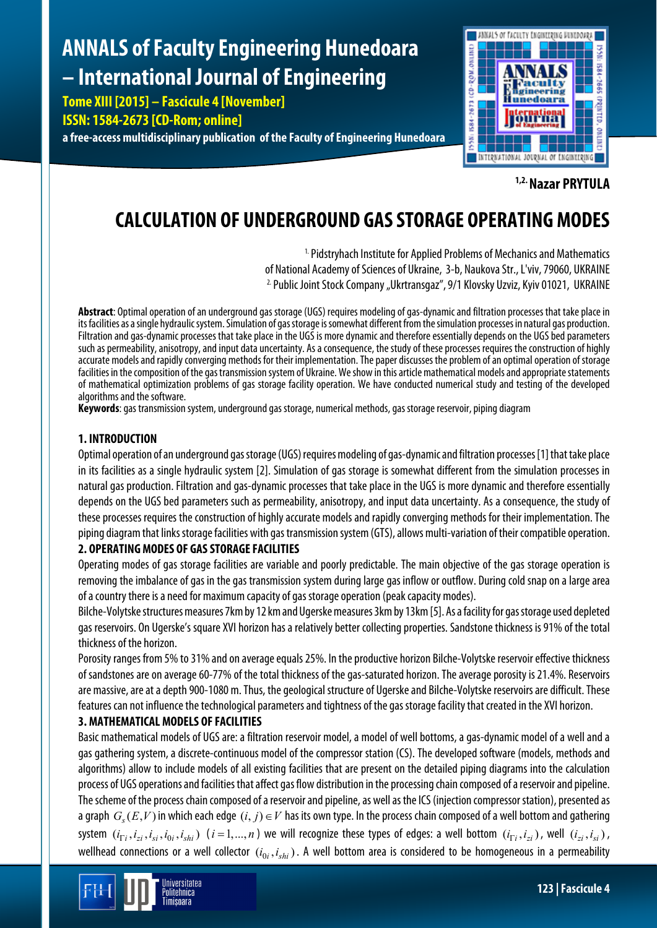# **ANNALS of Faculty Engineering Hunedoara – International Journal of Engineering**

**Tome XIII [2015] – Fascicule 4 [November] ISSN: 1584-2673 [CD-Rom; online]**

**a free-access multidisciplinary publication of the Faculty of Engineering Hunedoara**



**1,2. Nazar PRYTULA**

# **CALCULATION OF UNDERGROUND GAS STORAGE OPERATING MODES**

<sup>1.</sup> Pidstryhach Institute for Applied Problems of Mechanics and Mathematics of National Academy of Sciences of Ukraine, 3-b, Naukova Str., L'viv, 79060, UKRAINE <sup>2.</sup> Public Joint Stock Company "Ukrtransgaz", 9/1 Klovsky Uzviz, Kyiv 01021, UKRAINE

**Abstract**: Optimal operation of an underground gas storage (UGS) requires modeling of gas-dynamic and filtration processes that take place in its facilities as a single hydraulic system. Simulation of gas storage is somewhat different from the simulation processes in natural gas production. Filtration and gas-dynamic processes that take place in the UGS is more dynamic and therefore essentially depends on the UGS bed parameters such as permeability, anisotropy, and input data uncertainty. As a consequence, the study of these processes requires the construction of highly accurate models and rapidly converging methods for their implementation. The paper discusses the problem of an optimal operation of storage facilities in the composition of the gas transmission system of Ukraine. We show in this article mathematical models and appropriate statements of mathematical optimization problems of gas storage facility operation. We have conducted numerical study and testing of the developed algorithms and the software.

**Keywords**: gas transmission system, underground gas storage, numerical methods, gas storage reservoir, piping diagram

## **1. INTRODUCTION**

Optimal operation of an underground gas storage (UGS) requires modeling of gas-dynamic and filtration processes [1] that take place in its facilities as a single hydraulic system [2]. Simulation of gas storage is somewhat different from the simulation processes in natural gas production. Filtration and gas-dynamic processes that take place in the UGS is more dynamic and therefore essentially depends on the UGS bed parameters such as permeability, anisotropy, and input data uncertainty. As a consequence, the study of these processes requires the construction of highly accurate models and rapidly converging methods for their implementation. The piping diagram that links storage facilities with gas transmission system (GTS), allows multi-variation of their compatible operation.

### **2. OPERATING MODES OF GAS STORAGEFACILITIES**

Operating modes of gas storage facilities are variable and poorly predictable. The main objective of the gas storage operation is removing the imbalance of gas in the gas transmission system during large gas inflow or outflow. During cold snap on a large area of a country there is a need for maximum capacity of gas storage operation (peak capacity modes).

Bіlche-Volytske structures measures 7km by 12 km and Ugerskеmeasures3km by 13km [5]. As a facility for gas storage used depleted gas reservoirs. On Ugerske's square XVI horizon has a relatively better collecting properties. Sandstone thickness is 91% of the total thickness of the horizon.

Porosity ranges from 5% to 31% and on average equals 25%. In the productive horizon Bilche-Volytske reservoir effective thickness of sandstones are on average 60-77% of the total thickness of the gas-saturated horizon. The average porosity is 21.4%. Reservoirs are massive, are at a depth 900-1080 m. Thus, the geological structure of Ugerske and Bilche-Volytske reservoirs are difficult. These features can not influence the technological parameters and tightness of the gas storage facility that created in the XVI horizon.

# **3. MATHEMATICAL MODELS OFFACILITIES**

Basic mathematical models of UGS are: a filtration reservoir model, a model of well bottoms, a gas-dynamic model of a well and a gas gathering system, a discrete-continuous model of the compressor station (CS). The developed software (models, methods and algorithms) allow to include models of all existing facilities that are present on the detailed piping diagrams into the calculation process of UGS operations and facilities that affect gas flow distribution in the processing chain composed of a reservoir and pipeline. The scheme of the process chain composed of a reservoir and pipeline, as well as the ICS (injection compressor station), presented as a graph  $G_s(E, V)$  in which each edge  $(i, j) \in V$  has its own type. In the process chain composed of a well bottom and gathering system  $(i_{\Gamma i}, i_{zi}, i_{si}, i_{0i}, i_{shi})$   $(i = 1, ..., n)$  we will recognize these types of edges: a well bottom  $(i_{\Gamma i}, i_{zi})$ , well  $(i_{zi}, i_{si})$ , wellhead connections or a well collector  $(i_{0i}, i_{shi})$ . A well bottom area is considered to be homogeneous in a permeability

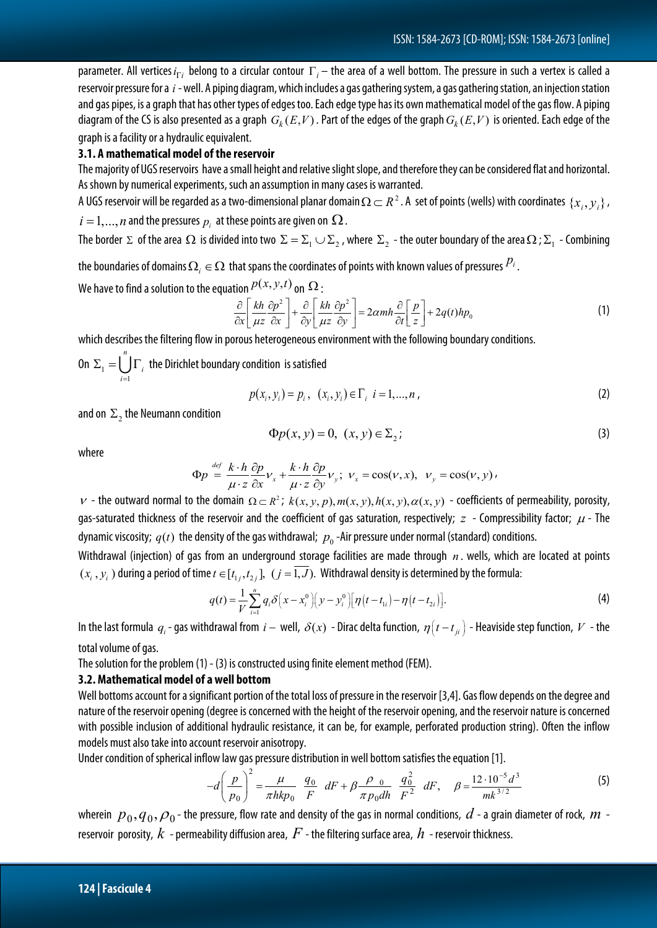parameter. All vertices  $i_{\Gamma i}$  belong to a circular contour  $\Gamma_i$  – the area of a well bottom. The pressure in such a vertex is called a reservoir pressure for a *i* -well. A piping diagram, which includes a gas gathering system, a gas gathering station, an injection station and gas pipes, is a graph that has other types of edges too. Each edge type has its own mathematical model of the gas flow. A piping diagram of the CS is also presented as a graph  $G_k(E,V)$ . Part of the edges of the graph  $G_k(E,V)$  is oriented. Each edge of the graph is a facility or a hydraulic equivalent.

#### **3.1. A mathematical model of the reservoir**

The majority of UGS reservoirs have a small height and relative slight slope, and therefore they can be considered flat and horizontal. As shown by numerical experiments, such an assumption in many cases is warranted.

A UGS reservoir will be regarded as a two-dimensional planar domain  $\Omega \subset R^2$ . A set of points (wells) with coordinates  $\{x_i, y_i\}$ ,

 $i = 1, ..., n$  and the pressures  $p_i$  at these points are given on  $\Omega$ .

The border  $\Sigma$  of the area  $\Omega$  is divided into two  $\Sigma = \Sigma_1 \cup \Sigma_2$  , where  $\Sigma_2$  - the outer boundary of the area  $\Omega$  ;  $\Sigma_1$  - Combining

the boundaries of domains  $\Omega_i \in \Omega$  that spans the coordinates of points with known values of pressures  $P_i$ .

We have to find a solution to the equation  $P(x, y, t)$  on  $\Omega$ :

$$
\frac{\partial}{\partial x}\left[\frac{kh}{\mu z}\frac{\partial p^2}{\partial x}\right] + \frac{\partial}{\partial y}\left[\frac{kh}{\mu z}\frac{\partial p^2}{\partial y}\right] = 2\alpha m h \frac{\partial}{\partial t}\left[\frac{p}{z}\right] + 2q(t)hp_0
$$
\n(1)

which describes the filtering flow in porous heterogeneous environment with the following boundary conditions.

On  $\Sigma_1$ 1 *n i*  $\Sigma_{1} = \bigcup_{i=1} \Gamma_{i}$  the Dirichlet boundary condition is satisfied

$$
p(x_i, y_i) = p_i, \ (x_i, y_i) \in \Gamma_i \ \ i = 1, ..., n \tag{2}
$$

and on  $\Sigma$ <sub>2</sub> the Neumann condition

$$
\Phi p(x, y) = 0, \ (x, y) \in \Sigma_2;
$$
 (3)

where

$$
\Phi p \stackrel{\text{def}}{=} \frac{k \cdot h}{\mu \cdot z} \frac{\partial p}{\partial x} v_x + \frac{k \cdot h}{\mu \cdot z} \frac{\partial p}{\partial y} v_y; \ v_x = \cos(v, x), \ v_y = \cos(v, y)
$$

 $v$  - the outward normal to the domain  $\Omega \subset R^2$ ;  $k(x, y, p)$ ,  $m(x, y)$ ,  $h(x, y)$ ,  $\alpha(x, y)$  - coefficients of permeability, porosity, gas-saturated thickness of the reservoir and the coefficient of gas saturation, respectively;  $z$  - Compressibility factor;  $\mu$  - The dynamic viscosity;  $q(t)$  the density of the gas withdrawal;  $p_0$ -Air pressure under normal (standard) conditions.

Withdrawal (injection) of gas from an underground storage facilities are made through *n* . wells, which are located at points  $(x_i, y_i)$  during a period of time  $t \in [t_1, t_2]$ ,  $(j = 1, J)$ . Withdrawal density is determined by the formula:

$$
q(t) = \frac{1}{V} \sum_{i=1}^{n} q_i \delta\left(x - x_i^0\right) \left(y - y_i^0\right) \left[\eta\left(t - t_{1i}\right) - \eta\left(t - t_{2i}\right)\right].
$$
 (4)

In the last formula  $q_i$ -gas withdrawal from  $i$  – well,  $\delta(x)$  - Dirac delta function,  $\eta(t-t_{ii})$  - Heaviside step function,  $V$  - the total volume of gas.

The solution for the problem (1) - (3) is constructed using finite element method (FEM).

#### **3.2. Mathematical model of a well bottom**

Well bottoms account for a significant portion of the total loss of pressure in the reservoir [3,4]. Gas flow depends on the degree and nature of the reservoir opening (degree is concerned with the height of the reservoir opening, and the reservoir nature is concerned with possible inclusion of additional hydraulic resistance, it can be, for example, perforated production string). Often the inflow models must also take into account reservoir anisotropy.

Under condition of spherical inflow law gas pressure distribution in well bottom satisfies the equation [1].

$$
-d\left(\frac{p}{p_0}\right)^2 = \frac{\mu}{\pi h k p_0} \frac{q_0}{F} dF + \beta \frac{\rho_0}{\pi p_0 dh} \frac{q_0^2}{F^2} dF, \quad \beta = \frac{12 \cdot 10^{-5} d^3}{m k^{3/2}}
$$
 (5)

wherein  $p_0, q_0, \rho_0$  - the pressure, flow rate and density of the gas in normal conditions,  $d$  - a grain diameter of rock,  $m$  reservoir porosity,  $k$  -permeability diffusion area,  $F$  - the filtering surface area,  $h$  - reservoir thickness.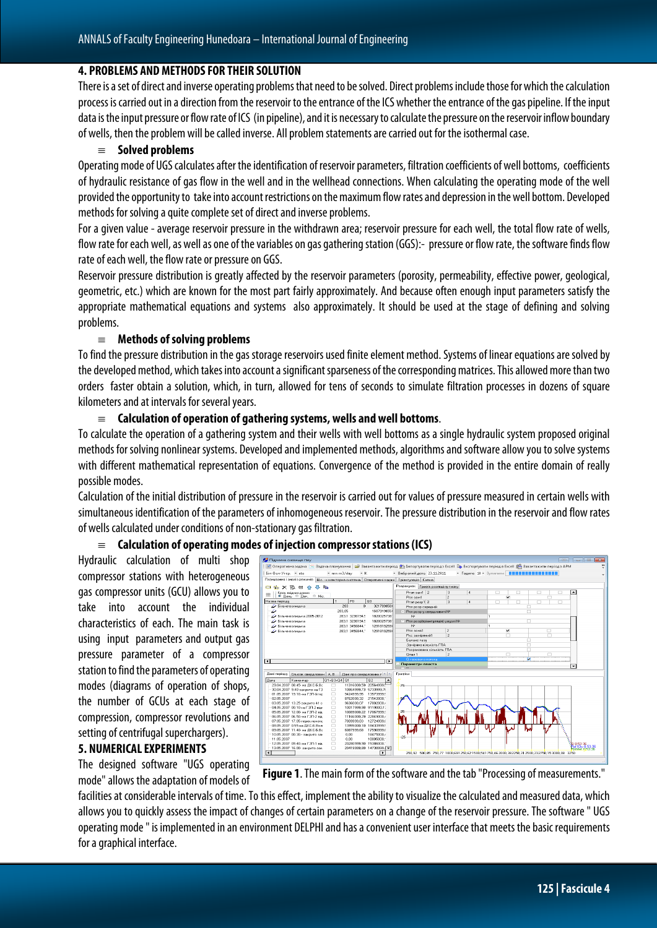#### **4. PROBLEMS ANDMETHODS FOR THEIR SOLUTION**

There is a set of direct and inverse operating problems that need to be solved. Direct problems include those for which the calculation process is carried out in a direction from the reservoir to the entrance of the ICS whether the entrance of the gas pipeline. If the input data is the input pressure or flow rate of ICS (in pipeline), and it is necessary to calculate the pressure on the reservoir inflow boundary of wells, then theproblemwill be calledinverse. Allproblem statements are carried out for the isothermal case.

#### ≡ **Solved problems**

Operating mode of UGS calculates after the identification of reservoir parameters, filtration coefficients of well bottoms, coefficients of hydraulic resistance of gas flow in the well and in the wellhead connections. When calculating the operating mode of the well provided the opportunity to take into account restrictions on the maximum flow rates and depression in the well bottom. Developed methods for solving a quite complete set of direct and inverse problems.

For a given value - average reservoir pressure in the withdrawn area; reservoir pressure for each well, the total flow rate of wells, flow rate for each well, as well as one of the variables on gas gathering station (GGS):- pressure or flow rate, the software finds flow rate of each well, the flow rate or pressure on GGS.

Reservoir pressure distribution is greatly affected by the reservoir parameters (porosity, permeability, effective power, geological, geometric, etc.) which are known for the most part fairly approximately. And because often enough input parameters satisfy the appropriate mathematical equations and systems also approximately. It should be used at the stage of defining and solving problems.

#### ≡ **Methods of solving problems**

To find the pressure distribution in the gas storage reservoirs used finite element method. Systems of linear equations are solved by the developed method, which takes into account a significant sparseness of the corresponding matrices. This allowed more than two orders faster obtain a solution, which, in turn, allowed for tens of seconds to simulate filtration processes in dozens of square kilometersandat intervals for several years.

#### ≡ **Calculation of operation of gathering systems, wells andwell bottoms**.

To calculate the operation of a gathering system and their wells with well bottoms as a single hydraulic system proposedoriginal methods for solving nonlinear systems. Developed and implemented methods, algorithms and software allow you to solve systems with different mathematical representation of equations. Convergence of the method is provided in the entire domain of really possible modes.

Calculation of the initial distribution of pressure in the reservoir is carried out for values of pressure measured in certain wells with simultaneous identification of the parameters of inhomogeneous reservoir. The pressure distribution in the reservoir and flow rates of wells calculated under conditions of non-stationary gas filtration.

#### ≡ **Calculation of operating modes of injection compressorstations (ICS)**

Hydraulic calculation of multi shop compressor stations with heterogeneous gas compressor units (GCU) allows you to take into account the individual characteristics of each. The main task is using input parameters and output gas pressure parameter of a compressor station to find the parameters of operating modes (diagrams of operation of shops, the number of GCUs at each stage of compression, compressor revolutions and setting of centrifugal superchargers).

#### **5. NUMERICALEXPERIMENTS**

The designed software "UGS operating mode" allows the adaptation of models of



**Figure 1.** The main form of the software and the tab "Processing of measurements."

facilities at considerable intervals of time. To this effect, implement the ability to visualize the calculated and measured data, which allows you to quickly assess the impact of changes of certain parameters on a change of the reservoir pressure. The software "UGS operating mode " is implemented in an environment DELPHI and has a convenient user interface that meets the basic requirements for a graphical interface.